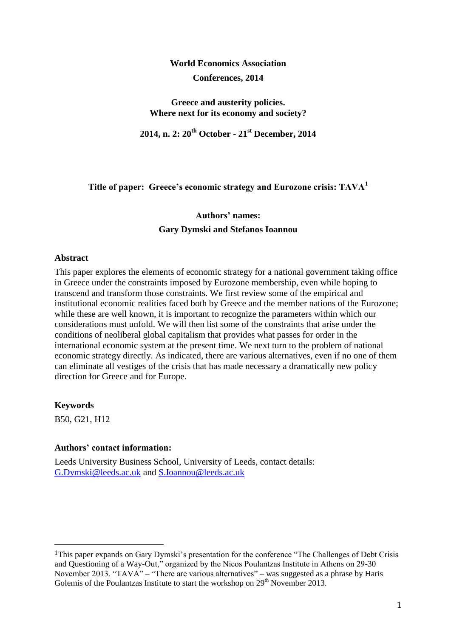# **World Economics Association Conferences, 2014**

**Greece and austerity policies. Where next for its economy and society?**

**2014, n. 2: 20th October - 21st December, 2014**

**Title of paper: Greece's economic strategy and Eurozone crisis: TAVA<sup>1</sup>**

# **Authors' names: Gary Dymski and Stefanos Ioannou**

#### **Abstract**

This paper explores the elements of economic strategy for a national government taking office in Greece under the constraints imposed by Eurozone membership, even while hoping to transcend and transform those constraints. We first review some of the empirical and institutional economic realities faced both by Greece and the member nations of the Eurozone; while these are well known, it is important to recognize the parameters within which our considerations must unfold. We will then list some of the constraints that arise under the conditions of neoliberal global capitalism that provides what passes for order in the international economic system at the present time. We next turn to the problem of national economic strategy directly. As indicated, there are various alternatives, even if no one of them can eliminate all vestiges of the crisis that has made necessary a dramatically new policy direction for Greece and for Europe.

**Keywords**

<u>.</u>

B50, G21, H12

## **Authors' contact information:**

Leeds University Business School, University of Leeds, contact details: [G.Dymski@leeds.ac.uk](mailto:G.Dymski@leeds.ac.uk) and [S.Ioannou@leeds.ac.uk](mailto:S.Ioannou@leeds.ac.uk)

<sup>1</sup>This paper expands on Gary Dymski's presentation for the conference "The Challenges of Debt Crisis and Questioning of a Way-Out," organized by the Nicos Poulantzas Institute in Athens on 29-30 November 2013. "TAVA" – "There are various alternatives" – was suggested as a phrase by Haris Golemis of the Poulantzas Institute to start the workshop on 29<sup>th</sup> November 2013.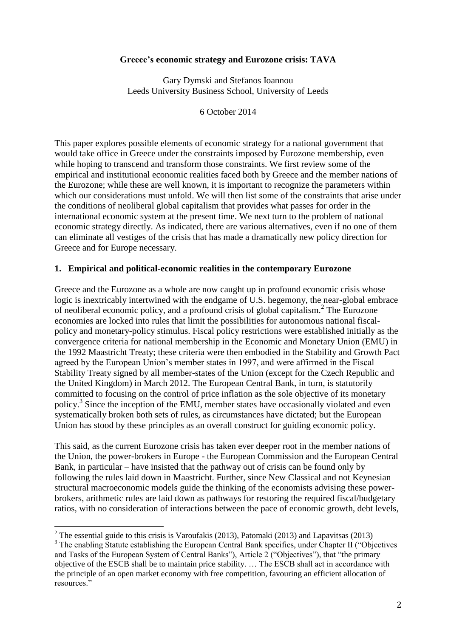#### **Greece's economic strategy and Eurozone crisis: TAVA**

Gary Dymski and Stefanos Ioannou Leeds University Business School, University of Leeds

6 October 2014

This paper explores possible elements of economic strategy for a national government that would take office in Greece under the constraints imposed by Eurozone membership, even while hoping to transcend and transform those constraints. We first review some of the empirical and institutional economic realities faced both by Greece and the member nations of the Eurozone; while these are well known, it is important to recognize the parameters within which our considerations must unfold. We will then list some of the constraints that arise under the conditions of neoliberal global capitalism that provides what passes for order in the international economic system at the present time. We next turn to the problem of national economic strategy directly. As indicated, there are various alternatives, even if no one of them can eliminate all vestiges of the crisis that has made a dramatically new policy direction for Greece and for Europe necessary.

#### **1. Empirical and political-economic realities in the contemporary Eurozone**

Greece and the Eurozone as a whole are now caught up in profound economic crisis whose logic is inextricably intertwined with the endgame of U.S. hegemony, the near-global embrace of neoliberal economic policy, and a profound crisis of global capitalism.<sup>2</sup> The Eurozone economies are locked into rules that limit the possibilities for autonomous national fiscalpolicy and monetary-policy stimulus. Fiscal policy restrictions were established initially as the convergence criteria for national membership in the Economic and Monetary Union (EMU) in the 1992 Maastricht Treaty; these criteria were then embodied in the Stability and Growth Pact agreed by the European Union's member states in 1997, and were affirmed in the Fiscal Stability Treaty signed by all member-states of the Union (except for the Czech Republic and the United Kingdom) in March 2012. The European Central Bank, in turn, is statutorily committed to focusing on the control of price inflation as the sole objective of its monetary policy.<sup>3</sup> Since the inception of the EMU, member states have occasionally violated and even systematically broken both sets of rules, as circumstances have dictated; but the European Union has stood by these principles as an overall construct for guiding economic policy.

This said, as the current Eurozone crisis has taken ever deeper root in the member nations of the Union, the power-brokers in Europe - the European Commission and the European Central Bank, in particular – have insisted that the pathway out of crisis can be found only by following the rules laid down in Maastricht. Further, since New Classical and not Keynesian structural macroeconomic models guide the thinking of the economists advising these powerbrokers, arithmetic rules are laid down as pathways for restoring the required fiscal/budgetary ratios, with no consideration of interactions between the pace of economic growth, debt levels,

<sup>&</sup>lt;sup>2</sup> The essential guide to this crisis is Varoufakis (2013), Patomaki (2013) and Lapavitsas (2013)

<sup>&</sup>lt;sup>3</sup> The enabling Statute establishing the European Central Bank specifies, under Chapter II ("Objectives") and Tasks of the European System of Central Banks"), Article 2 ("Objectives"), that "the primary objective of the ESCB shall be to maintain price stability. … The ESCB shall act in accordance with the principle of an open market economy with free competition, favouring an efficient allocation of resources."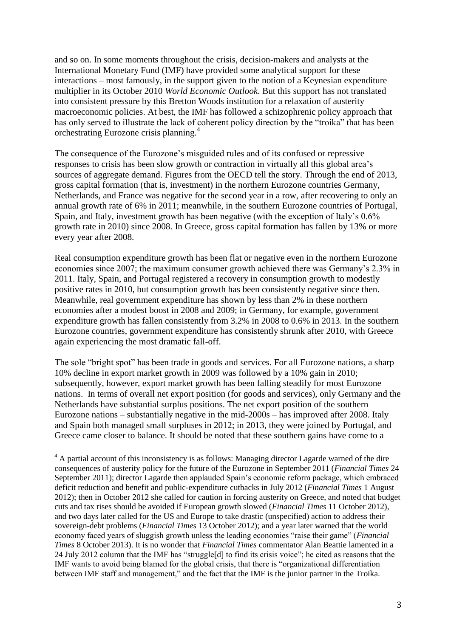and so on. In some moments throughout the crisis, decision-makers and analysts at the International Monetary Fund (IMF) have provided some analytical support for these interactions – most famously, in the support given to the notion of a Keynesian expenditure multiplier in its October 2010 *World Economic Outlook*. But this support has not translated into consistent pressure by this Bretton Woods institution for a relaxation of austerity macroeconomic policies. At best, the IMF has followed a schizophrenic policy approach that has only served to illustrate the lack of coherent policy direction by the "troika" that has been orchestrating Eurozone crisis planning.<sup>4</sup>

The consequence of the Eurozone's misguided rules and of its confused or repressive responses to crisis has been slow growth or contraction in virtually all this global area's sources of aggregate demand. Figures from the OECD tell the story. Through the end of 2013, gross capital formation (that is, investment) in the northern Eurozone countries Germany, Netherlands, and France was negative for the second year in a row, after recovering to only an annual growth rate of 6% in 2011; meanwhile, in the southern Eurozone countries of Portugal, Spain, and Italy, investment growth has been negative (with the exception of Italy's 0.6% growth rate in 2010) since 2008. In Greece, gross capital formation has fallen by 13% or more every year after 2008.

Real consumption expenditure growth has been flat or negative even in the northern Eurozone economies since 2007; the maximum consumer growth achieved there was Germany's 2.3% in 2011. Italy, Spain, and Portugal registered a recovery in consumption growth to modestly positive rates in 2010, but consumption growth has been consistently negative since then. Meanwhile, real government expenditure has shown by less than 2% in these northern economies after a modest boost in 2008 and 2009; in Germany, for example, government expenditure growth has fallen consistently from 3.2% in 2008 to 0.6% in 2013. In the southern Eurozone countries, government expenditure has consistently shrunk after 2010, with Greece again experiencing the most dramatic fall-off.

The sole "bright spot" has been trade in goods and services. For all Eurozone nations, a sharp 10% decline in export market growth in 2009 was followed by a 10% gain in 2010; subsequently, however, export market growth has been falling steadily for most Eurozone nations. In terms of overall net export position (for goods and services), only Germany and the Netherlands have substantial surplus positions. The net export position of the southern Eurozone nations – substantially negative in the mid-2000s – has improved after 2008. Italy and Spain both managed small surpluses in 2012; in 2013, they were joined by Portugal, and Greece came closer to balance. It should be noted that these southern gains have come to a

<sup>&</sup>lt;sup>4</sup> A partial account of this inconsistency is as follows: Managing director Lagarde warned of the dire consequences of austerity policy for the future of the Eurozone in September 2011 (*Financial Times* 24 September 2011); director Lagarde then applauded Spain's economic reform package, which embraced deficit reduction and benefit and public-expenditure cutbacks in July 2012 (*Financial Times* 1 August 2012); then in October 2012 she called for caution in forcing austerity on Greece, and noted that budget cuts and tax rises should be avoided if European growth slowed (*Financial Times* 11 October 2012), and two days later called for the US and Europe to take drastic (unspecified) action to address their sovereign-debt problems (*Financial Times* 13 October 2012); and a year later warned that the world economy faced years of sluggish growth unless the leading economies "raise their game" (*Financial Times* 8 October 2013). It is no wonder that *Financial Times* commentator Alan Beattie lamented in a 24 July 2012 column that the IMF has "struggle[d] to find its crisis voice"; he cited as reasons that the IMF wants to avoid being blamed for the global crisis, that there is "organizational differentiation between IMF staff and management," and the fact that the IMF is the junior partner in the Troika.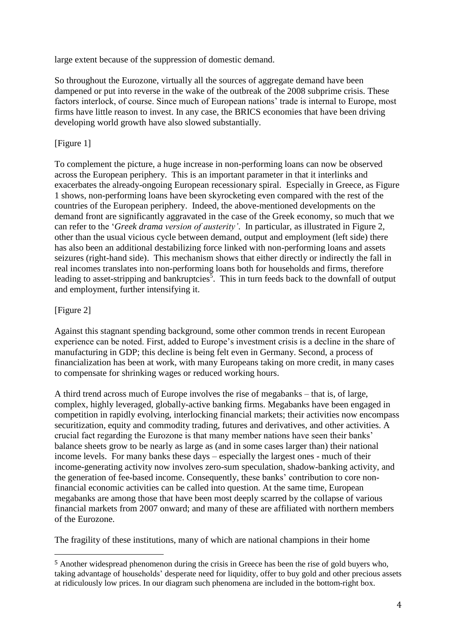large extent because of the suppression of domestic demand.

So throughout the Eurozone, virtually all the sources of aggregate demand have been dampened or put into reverse in the wake of the outbreak of the 2008 subprime crisis. These factors interlock, of course. Since much of European nations' trade is internal to Europe, most firms have little reason to invest. In any case, the BRICS economies that have been driving developing world growth have also slowed substantially.

## [Figure 1]

To complement the picture, a huge increase in non-performing loans can now be observed across the European periphery. This is an important parameter in that it interlinks and exacerbates the already-ongoing European recessionary spiral. Especially in Greece, as Figure 1 shows, non-performing loans have been skyrocketing even compared with the rest of the countries of the European periphery. Indeed, the above-mentioned developments on the demand front are significantly aggravated in the case of the Greek economy, so much that we can refer to the '*Greek drama version of austerity'*. In particular, as illustrated in Figure 2, other than the usual vicious cycle between demand, output and employment (left side) there has also been an additional destabilizing force linked with non-performing loans and assets seizures (right-hand side). This mechanism shows that either directly or indirectly the fall in real incomes translates into non-performing loans both for households and firms, therefore leading to asset-stripping and bankruptcies<sup>3</sup>. This in turn feeds back to the downfall of output and employment, further intensifying it.

## [Figure 2]

<u>.</u>

Against this stagnant spending background, some other common trends in recent European experience can be noted. First, added to Europe's investment crisis is a decline in the share of manufacturing in GDP; this decline is being felt even in Germany. Second, a process of financialization has been at work, with many Europeans taking on more credit, in many cases to compensate for shrinking wages or reduced working hours.

A third trend across much of Europe involves the rise of megabanks – that is, of large, complex, highly leveraged, globally-active banking firms. Megabanks have been engaged in competition in rapidly evolving, interlocking financial markets; their activities now encompass securitization, equity and commodity trading, futures and derivatives, and other activities. A crucial fact regarding the Eurozone is that many member nations have seen their banks' balance sheets grow to be nearly as large as (and in some cases larger than) their national income levels. For many banks these days – especially the largest ones - much of their income-generating activity now involves zero-sum speculation, shadow-banking activity, and the generation of fee-based income. Consequently, these banks' contribution to core nonfinancial economic activities can be called into question. At the same time, European megabanks are among those that have been most deeply scarred by the collapse of various financial markets from 2007 onward; and many of these are affiliated with northern members of the Eurozone.

The fragility of these institutions, many of which are national champions in their home

<sup>5</sup> Another widespread phenomenon during the crisis in Greece has been the rise of gold buyers who, taking advantage of households' desperate need for liquidity, offer to buy gold and other precious assets at ridiculously low prices. In our diagram such phenomena are included in the bottom-right box.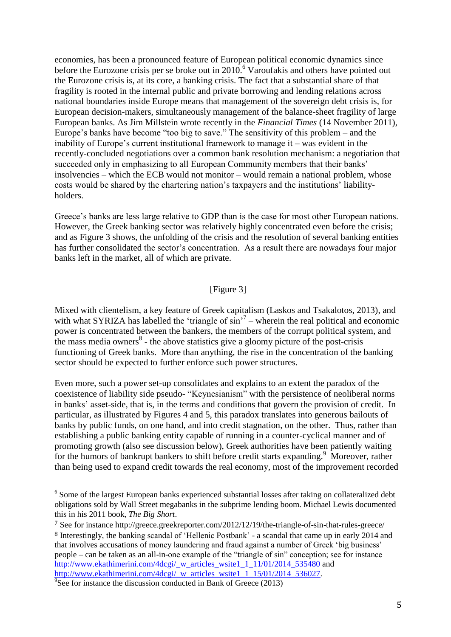economies, has been a pronounced feature of European political economic dynamics since before the Eurozone crisis per se broke out in  $2010$ .<sup>6</sup> Varoufakis and others have pointed out the Eurozone crisis is, at its core, a banking crisis. The fact that a substantial share of that fragility is rooted in the internal public and private borrowing and lending relations across national boundaries inside Europe means that management of the sovereign debt crisis is, for European decision-makers, simultaneously management of the balance-sheet fragility of large European banks. As Jim Millstein wrote recently in the *Financial Times* (14 November 2011), Europe's banks have become "too big to save." The sensitivity of this problem – and the inability of Europe's current institutional framework to manage it – was evident in the recently-concluded negotiations over a common bank resolution mechanism: a negotiation that succeeded only in emphasizing to all European Community members that their banks' insolvencies – which the ECB would not monitor – would remain a national problem, whose costs would be shared by the chartering nation's taxpayers and the institutions' liabilityholders.

Greece's banks are less large relative to GDP than is the case for most other European nations. However, the Greek banking sector was relatively highly concentrated even before the crisis; and as Figure 3 shows, the unfolding of the crisis and the resolution of several banking entities has further consolidated the sector's concentration. As a result there are nowadays four major banks left in the market, all of which are private.

#### [Figure 3]

Mixed with clientelism, a key feature of Greek capitalism (Laskos and Tsakalotos, 2013), and with what SYRIZA has labelled the 'triangle of  $\sin^{7}$  – wherein the real political and economic power is concentrated between the bankers, the members of the corrupt political system, and the mass media owners<sup>8</sup> - the above statistics give a gloomy picture of the post-crisis functioning of Greek banks. More than anything, the rise in the concentration of the banking sector should be expected to further enforce such power structures.

Even more, such a power set-up consolidates and explains to an extent the paradox of the coexistence of liability side pseudo- "Keynesianism" with the persistence of neoliberal norms in banks' asset-side, that is, in the terms and conditions that govern the provision of credit. In particular, as illustrated by Figures 4 and 5, this paradox translates into generous bailouts of banks by public funds, on one hand, and into credit stagnation, on the other. Thus, rather than establishing a public banking entity capable of running in a counter-cyclical manner and of promoting growth (also see discussion below), Greek authorities have been patiently waiting for the humors of bankrupt bankers to shift before credit starts expanding.<sup>9</sup> Moreover, rather than being used to expand credit towards the real economy, most of the improvement recorded

<sup>&</sup>lt;sup>6</sup> Some of the largest European banks experienced substantial losses after taking on collateralized debt obligations sold by Wall Street megabanks in the subprime lending boom. Michael Lewis documented this in his 2011 book, *The Big Short*.

<sup>7</sup> See for instance http://greece.greekreporter.com/2012/12/19/the-triangle-of-sin-that-rules-greece/ <sup>8</sup> Interestingly, the banking scandal of 'Hellenic Postbank' - a scandal that came up in early 2014 and that involves accusations of money laundering and fraud against a number of Greek 'big business' people – can be taken as an all-in-one example of the "triangle of sin" conception; see for instance [http://www.ekathimerini.com/4dcgi/\\_w\\_articles\\_wsite1\\_1\\_11/01/2014\\_535480](http://www.ekathimerini.com/4dcgi/_w_articles_wsite1_1_11/01/2014_535480) and [http://www.ekathimerini.com/4dcgi/\\_w\\_articles\\_wsite1\\_1\\_15/01/2014\\_536027.](http://www.ekathimerini.com/4dcgi/_w_articles_wsite1_1_15/01/2014_536027)

<sup>&</sup>lt;sup>9</sup>See for instance the discussion conducted in Bank of Greece (2013)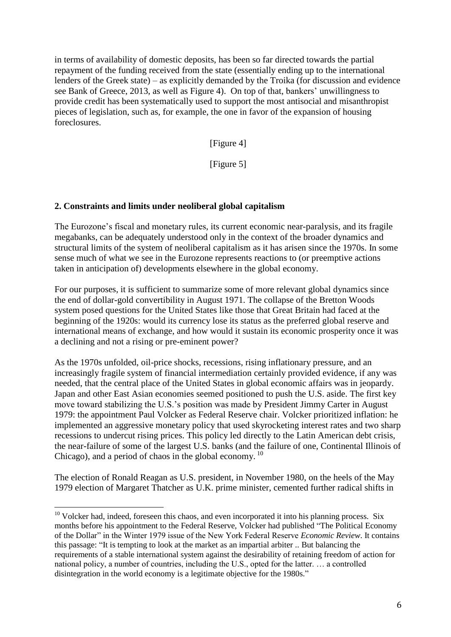in terms of availability of domestic deposits, has been so far directed towards the partial repayment of the funding received from the state (essentially ending up to the international lenders of the Greek state) – as explicitly demanded by the Troika (for discussion and evidence see Bank of Greece, 2013, as well as Figure 4). On top of that, bankers' unwillingness to provide credit has been systematically used to support the most antisocial and misanthropist pieces of legislation, such as, for example, the one in favor of the expansion of housing foreclosures.

[Figure 4]

[Figure 5]

## **2. Constraints and limits under neoliberal global capitalism**

The Eurozone's fiscal and monetary rules, its current economic near-paralysis, and its fragile megabanks, can be adequately understood only in the context of the broader dynamics and structural limits of the system of neoliberal capitalism as it has arisen since the 1970s. In some sense much of what we see in the Eurozone represents reactions to (or preemptive actions taken in anticipation of) developments elsewhere in the global economy.

For our purposes, it is sufficient to summarize some of more relevant global dynamics since the end of dollar-gold convertibility in August 1971. The collapse of the Bretton Woods system posed questions for the United States like those that Great Britain had faced at the beginning of the 1920s: would its currency lose its status as the preferred global reserve and international means of exchange, and how would it sustain its economic prosperity once it was a declining and not a rising or pre-eminent power?

As the 1970s unfolded, oil-price shocks, recessions, rising inflationary pressure, and an increasingly fragile system of financial intermediation certainly provided evidence, if any was needed, that the central place of the United States in global economic affairs was in jeopardy. Japan and other East Asian economies seemed positioned to push the U.S. aside. The first key move toward stabilizing the U.S.'s position was made by President Jimmy Carter in August 1979: the appointment Paul Volcker as Federal Reserve chair. Volcker prioritized inflation: he implemented an aggressive monetary policy that used skyrocketing interest rates and two sharp recessions to undercut rising prices. This policy led directly to the Latin American debt crisis, the near-failure of some of the largest U.S. banks (and the failure of one, Continental Illinois of Chicago), and a period of chaos in the global economy.<sup>10</sup>

The election of Ronald Reagan as U.S. president, in November 1980, on the heels of the May 1979 election of Margaret Thatcher as U.K. prime minister, cemented further radical shifts in

 $10$  Volcker had, indeed, foreseen this chaos, and even incorporated it into his planning process. Six months before his appointment to the Federal Reserve, Volcker had published "The Political Economy of the Dollar" in the Winter 1979 issue of the New York Federal Reserve *Economic Review*. It contains this passage: "It is tempting to look at the market as an impartial arbiter .. But balancing the requirements of a stable international system against the desirability of retaining freedom of action for national policy, a number of countries, including the U.S., opted for the latter. … a controlled disintegration in the world economy is a legitimate objective for the 1980s."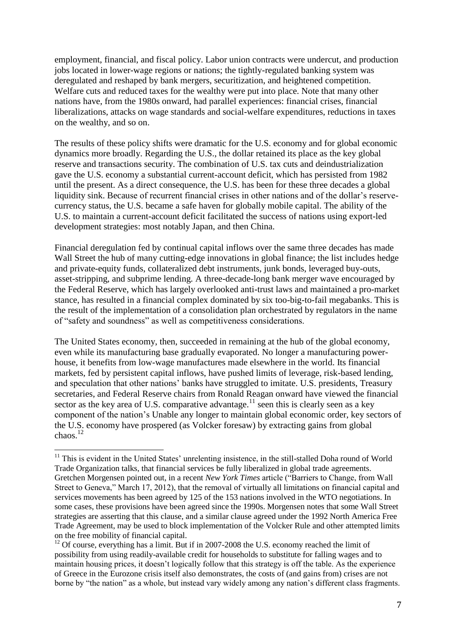employment, financial, and fiscal policy. Labor union contracts were undercut, and production jobs located in lower-wage regions or nations; the tightly-regulated banking system was deregulated and reshaped by bank mergers, securitization, and heightened competition. Welfare cuts and reduced taxes for the wealthy were put into place. Note that many other nations have, from the 1980s onward, had parallel experiences: financial crises, financial liberalizations, attacks on wage standards and social-welfare expenditures, reductions in taxes on the wealthy, and so on.

The results of these policy shifts were dramatic for the U.S. economy and for global economic dynamics more broadly. Regarding the U.S., the dollar retained its place as the key global reserve and transactions security. The combination of U.S. tax cuts and deindustrialization gave the U.S. economy a substantial current-account deficit, which has persisted from 1982 until the present. As a direct consequence, the U.S. has been for these three decades a global liquidity sink. Because of recurrent financial crises in other nations and of the dollar's reservecurrency status, the U.S. became a safe haven for globally mobile capital. The ability of the U.S. to maintain a current-account deficit facilitated the success of nations using export-led development strategies: most notably Japan, and then China.

Financial deregulation fed by continual capital inflows over the same three decades has made Wall Street the hub of many cutting-edge innovations in global finance; the list includes hedge and private-equity funds, collateralized debt instruments, junk bonds, leveraged buy-outs, asset-stripping, and subprime lending. A three-decade-long bank merger wave encouraged by the Federal Reserve, which has largely overlooked anti-trust laws and maintained a pro-market stance, has resulted in a financial complex dominated by six too-big-to-fail megabanks. This is the result of the implementation of a consolidation plan orchestrated by regulators in the name of "safety and soundness" as well as competitiveness considerations.

The United States economy, then, succeeded in remaining at the hub of the global economy, even while its manufacturing base gradually evaporated. No longer a manufacturing powerhouse, it benefits from low-wage manufactures made elsewhere in the world. Its financial markets, fed by persistent capital inflows, have pushed limits of leverage, risk-based lending, and speculation that other nations' banks have struggled to imitate. U.S. presidents, Treasury secretaries, and Federal Reserve chairs from Ronald Reagan onward have viewed the financial sector as the key area of U.S. comparative advantage.<sup>11</sup> seen this is clearly seen as a key component of the nation's Unable any longer to maintain global economic order, key sectors of the U.S. economy have prospered (as Volcker foresaw) by extracting gains from global chaos.<sup>12</sup>

<sup>&</sup>lt;sup>11</sup> This is evident in the United States' unrelenting insistence, in the still-stalled Doha round of World Trade Organization talks, that financial services be fully liberalized in global trade agreements. Gretchen Morgensen pointed out, in a recent *New York Times* article ("Barriers to Change, from Wall Street to Geneva," March 17, 2012), that the removal of virtually all limitations on financial capital and services movements has been agreed by 125 of the 153 nations involved in the WTO negotiations. In some cases, these provisions have been agreed since the 1990s. Morgensen notes that some Wall Street strategies are asserting that this clause, and a similar clause agreed under the 1992 North America Free Trade Agreement, may be used to block implementation of the Volcker Rule and other attempted limits on the free mobility of financial capital.

 $12$  Of course, everything has a limit. But if in 2007-2008 the U.S. economy reached the limit of possibility from using readily-available credit for households to substitute for falling wages and to maintain housing prices, it doesn't logically follow that this strategy is off the table. As the experience of Greece in the Eurozone crisis itself also demonstrates, the costs of (and gains from) crises are not borne by "the nation" as a whole, but instead vary widely among any nation's different class fragments.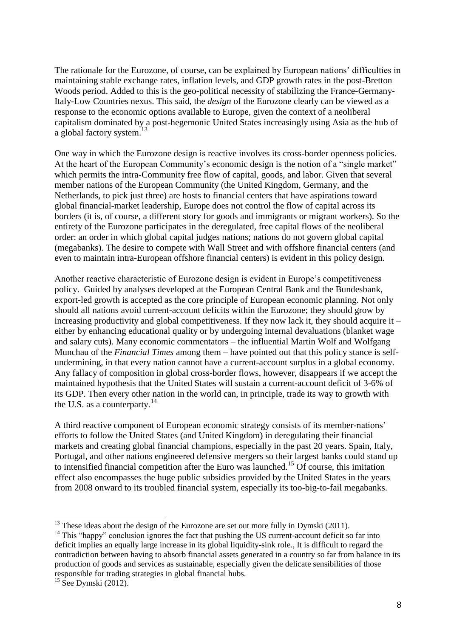The rationale for the Eurozone, of course, can be explained by European nations' difficulties in maintaining stable exchange rates, inflation levels, and GDP growth rates in the post-Bretton Woods period. Added to this is the geo-political necessity of stabilizing the France-Germany-Italy-Low Countries nexus. This said, the *design* of the Eurozone clearly can be viewed as a response to the economic options available to Europe, given the context of a neoliberal capitalism dominated by a post-hegemonic United States increasingly using Asia as the hub of a global factory system.<sup>13</sup>

One way in which the Eurozone design is reactive involves its cross-border openness policies. At the heart of the European Community's economic design is the notion of a "single market" which permits the intra-Community free flow of capital, goods, and labor. Given that several member nations of the European Community (the United Kingdom, Germany, and the Netherlands, to pick just three) are hosts to financial centers that have aspirations toward global financial-market leadership, Europe does not control the flow of capital across its borders (it is, of course, a different story for goods and immigrants or migrant workers). So the entirety of the Eurozone participates in the deregulated, free capital flows of the neoliberal order: an order in which global capital judges nations; nations do not govern global capital (megabanks). The desire to compete with Wall Street and with offshore financial centers (and even to maintain intra-European offshore financial centers) is evident in this policy design.

Another reactive characteristic of Eurozone design is evident in Europe's competitiveness policy. Guided by analyses developed at the European Central Bank and the Bundesbank, export-led growth is accepted as the core principle of European economic planning. Not only should all nations avoid current-account deficits within the Eurozone; they should grow by increasing productivity and global competitiveness. If they now lack it, they should acquire it  $$ either by enhancing educational quality or by undergoing internal devaluations (blanket wage and salary cuts). Many economic commentators – the influential Martin Wolf and Wolfgang Munchau of the *Financial Times* among them – have pointed out that this policy stance is selfundermining, in that every nation cannot have a current-account surplus in a global economy. Any fallacy of composition in global cross-border flows, however, disappears if we accept the maintained hypothesis that the United States will sustain a current-account deficit of 3-6% of its GDP. Then every other nation in the world can, in principle, trade its way to growth with the U.S. as a counterparty.<sup>14</sup>

A third reactive component of European economic strategy consists of its member-nations' efforts to follow the United States (and United Kingdom) in deregulating their financial markets and creating global financial champions, especially in the past 20 years. Spain, Italy, Portugal, and other nations engineered defensive mergers so their largest banks could stand up to intensified financial competition after the Euro was launched.<sup>15</sup> Of course, this imitation effect also encompasses the huge public subsidies provided by the United States in the years from 2008 onward to its troubled financial system, especially its too-big-to-fail megabanks.

<sup>&</sup>lt;u>.</u>  $13$  These ideas about the design of the Eurozone are set out more fully in Dymski (2011).

<sup>&</sup>lt;sup>14</sup> This "happy" conclusion ignores the fact that pushing the US current-account deficit so far into deficit implies an equally large increase in its global liquidity-sink role., It is difficult to regard the contradiction between having to absorb financial assets generated in a country so far from balance in its production of goods and services as sustainable, especially given the delicate sensibilities of those responsible for trading strategies in global financial hubs.

 $15$  See Dymski (2012).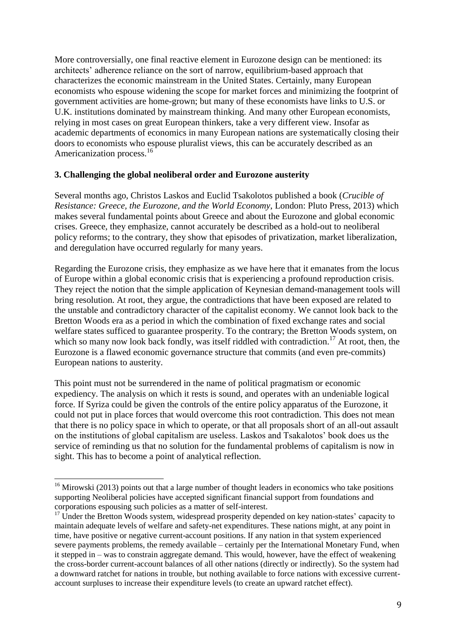More controversially, one final reactive element in Eurozone design can be mentioned: its architects' adherence reliance on the sort of narrow, equilibrium-based approach that characterizes the economic mainstream in the United States. Certainly, many European economists who espouse widening the scope for market forces and minimizing the footprint of government activities are home-grown; but many of these economists have links to U.S. or U.K. institutions dominated by mainstream thinking. And many other European economists, relying in most cases on great European thinkers, take a very different view. Insofar as academic departments of economics in many European nations are systematically closing their doors to economists who espouse pluralist views, this can be accurately described as an Americanization process.<sup>16</sup>

## **3. Challenging the global neoliberal order and Eurozone austerity**

Several months ago, Christos Laskos and Euclid Tsakolotos published a book (*Crucible of Resistance: Greece, the Eurozone, and the World Economy*, London: Pluto Press, 2013) which makes several fundamental points about Greece and about the Eurozone and global economic crises. Greece, they emphasize, cannot accurately be described as a hold-out to neoliberal policy reforms; to the contrary, they show that episodes of privatization, market liberalization, and deregulation have occurred regularly for many years.

Regarding the Eurozone crisis, they emphasize as we have here that it emanates from the locus of Europe within a global economic crisis that is experiencing a profound reproduction crisis. They reject the notion that the simple application of Keynesian demand-management tools will bring resolution. At root, they argue, the contradictions that have been exposed are related to the unstable and contradictory character of the capitalist economy. We cannot look back to the Bretton Woods era as a period in which the combination of fixed exchange rates and social welfare states sufficed to guarantee prosperity. To the contrary; the Bretton Woods system, on which so many now look back fondly, was itself riddled with contradiction.<sup>17</sup> At root, then, the Eurozone is a flawed economic governance structure that commits (and even pre-commits) European nations to austerity.

This point must not be surrendered in the name of political pragmatism or economic expediency. The analysis on which it rests is sound, and operates with an undeniable logical force. If Syriza could be given the controls of the entire policy apparatus of the Eurozone, it could not put in place forces that would overcome this root contradiction. This does not mean that there is no policy space in which to operate, or that all proposals short of an all-out assault on the institutions of global capitalism are useless. Laskos and Tsakalotos' book does us the service of reminding us that no solution for the fundamental problems of capitalism is now in sight. This has to become a point of analytical reflection.

<sup>&</sup>lt;u>.</u>  $16$  Mirowski (2013) points out that a large number of thought leaders in economics who take positions supporting Neoliberal policies have accepted significant financial support from foundations and corporations espousing such policies as a matter of self-interest.

 $17 \text{ Under the Bretron Woods system, widespread prospectity depended on key nation-states' capacity to }$ maintain adequate levels of welfare and safety-net expenditures. These nations might, at any point in time, have positive or negative current-account positions. If any nation in that system experienced severe payments problems, the remedy available – certainly per the International Monetary Fund, when it stepped in – was to constrain aggregate demand. This would, however, have the effect of weakening the cross-border current-account balances of all other nations (directly or indirectly). So the system had a downward ratchet for nations in trouble, but nothing available to force nations with excessive currentaccount surpluses to increase their expenditure levels (to create an upward ratchet effect).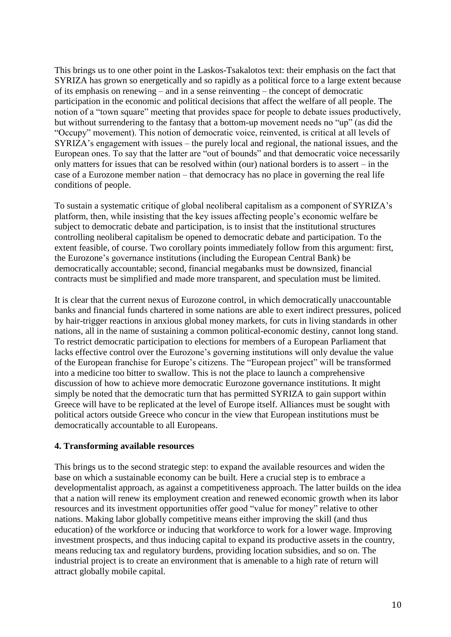This brings us to one other point in the Laskos-Tsakalotos text: their emphasis on the fact that SYRIZA has grown so energetically and so rapidly as a political force to a large extent because of its emphasis on renewing – and in a sense reinventing – the concept of democratic participation in the economic and political decisions that affect the welfare of all people. The notion of a "town square" meeting that provides space for people to debate issues productively, but without surrendering to the fantasy that a bottom-up movement needs no "up" (as did the "Occupy" movement). This notion of democratic voice, reinvented, is critical at all levels of SYRIZA's engagement with issues – the purely local and regional, the national issues, and the European ones. To say that the latter are "out of bounds" and that democratic voice necessarily only matters for issues that can be resolved within (our) national borders is to assert – in the case of a Eurozone member nation – that democracy has no place in governing the real life conditions of people.

To sustain a systematic critique of global neoliberal capitalism as a component of SYRIZA's platform, then, while insisting that the key issues affecting people's economic welfare be subject to democratic debate and participation, is to insist that the institutional structures controlling neoliberal capitalism be opened to democratic debate and participation. To the extent feasible, of course. Two corollary points immediately follow from this argument: first, the Eurozone's governance institutions (including the European Central Bank) be democratically accountable; second, financial megabanks must be downsized, financial contracts must be simplified and made more transparent, and speculation must be limited.

It is clear that the current nexus of Eurozone control, in which democratically unaccountable banks and financial funds chartered in some nations are able to exert indirect pressures, policed by hair-trigger reactions in anxious global money markets, for cuts in living standards in other nations, all in the name of sustaining a common political-economic destiny, cannot long stand. To restrict democratic participation to elections for members of a European Parliament that lacks effective control over the Eurozone's governing institutions will only devalue the value of the European franchise for Europe's citizens. The "European project" will be transformed into a medicine too bitter to swallow. This is not the place to launch a comprehensive discussion of how to achieve more democratic Eurozone governance institutions. It might simply be noted that the democratic turn that has permitted SYRIZA to gain support within Greece will have to be replicated at the level of Europe itself. Alliances must be sought with political actors outside Greece who concur in the view that European institutions must be democratically accountable to all Europeans.

## **4. Transforming available resources**

This brings us to the second strategic step: to expand the available resources and widen the base on which a sustainable economy can be built. Here a crucial step is to embrace a developmentalist approach, as against a competitiveness approach. The latter builds on the idea that a nation will renew its employment creation and renewed economic growth when its labor resources and its investment opportunities offer good "value for money" relative to other nations. Making labor globally competitive means either improving the skill (and thus education) of the workforce or inducing that workforce to work for a lower wage. Improving investment prospects, and thus inducing capital to expand its productive assets in the country, means reducing tax and regulatory burdens, providing location subsidies, and so on. The industrial project is to create an environment that is amenable to a high rate of return will attract globally mobile capital.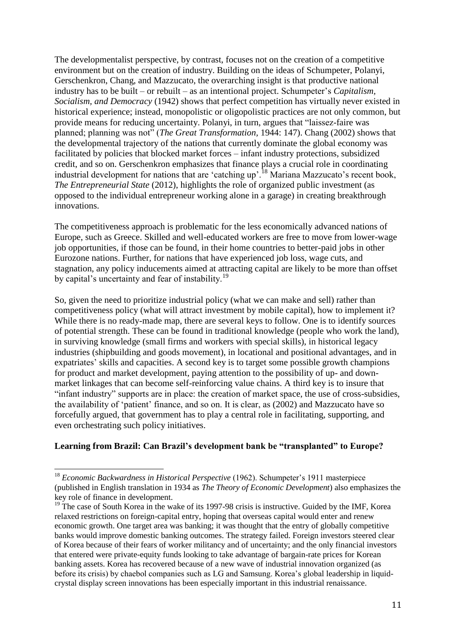The developmentalist perspective, by contrast, focuses not on the creation of a competitive environment but on the creation of industry. Building on the ideas of Schumpeter, Polanyi, Gerschenkron, Chang, and Mazzucato, the overarching insight is that productive national industry has to be built – or rebuilt – as an intentional project. Schumpeter's *Capitalism, Socialism, and Democracy* (1942) shows that perfect competition has virtually never existed in historical experience; instead, monopolistic or oligopolistic practices are not only common, but provide means for reducing uncertainty. Polanyi, in turn, argues that "laissez-faire was planned; planning was not" (*The Great Transformation,* 1944: 147). Chang (2002) shows that the developmental trajectory of the nations that currently dominate the global economy was facilitated by policies that blocked market forces – infant industry protections, subsidized credit, and so on. Gerschenkron emphasizes that finance plays a crucial role in coordinating industrial development for nations that are 'catching up'.<sup>18</sup> Mariana Mazzucato's recent book, *The Entrepreneurial State* (2012), highlights the role of organized public investment (as opposed to the individual entrepreneur working alone in a garage) in creating breakthrough innovations.

The competitiveness approach is problematic for the less economically advanced nations of Europe, such as Greece. Skilled and well-educated workers are free to move from lower-wage job opportunities, if those can be found, in their home countries to better-paid jobs in other Eurozone nations. Further, for nations that have experienced job loss, wage cuts, and stagnation, any policy inducements aimed at attracting capital are likely to be more than offset by capital's uncertainty and fear of instability.<sup>19</sup>

So, given the need to prioritize industrial policy (what we can make and sell) rather than competitiveness policy (what will attract investment by mobile capital), how to implement it? While there is no ready-made map, there are several keys to follow. One is to identify sources of potential strength. These can be found in traditional knowledge (people who work the land), in surviving knowledge (small firms and workers with special skills), in historical legacy industries (shipbuilding and goods movement), in locational and positional advantages, and in expatriates' skills and capacities. A second key is to target some possible growth champions for product and market development, paying attention to the possibility of up- and downmarket linkages that can become self-reinforcing value chains. A third key is to insure that "infant industry" supports are in place: the creation of market space, the use of cross-subsidies, the availability of 'patient' finance, and so on. It is clear, as (2002) and Mazzucato have so forcefully argued, that government has to play a central role in facilitating, supporting, and even orchestrating such policy initiatives.

## **Learning from Brazil: Can Brazil's development bank be "transplanted" to Europe?**

<sup>18</sup> *Economic Backwardness in Historical Perspective* (1962). Schumpeter's 1911 masterpiece (published in English translation in 1934 as *The Theory of Economic Development*) also emphasizes the key role of finance in development.

<sup>&</sup>lt;sup>19</sup> The case of South Korea in the wake of its 1997-98 crisis is instructive. Guided by the IMF, Korea relaxed restrictions on foreign-capital entry, hoping that overseas capital would enter and renew economic growth. One target area was banking; it was thought that the entry of globally competitive banks would improve domestic banking outcomes. The strategy failed. Foreign investors steered clear of Korea because of their fears of worker militancy and of uncertainty; and the only financial investors that entered were private-equity funds looking to take advantage of bargain-rate prices for Korean banking assets. Korea has recovered because of a new wave of industrial innovation organized (as before its crisis) by chaebol companies such as LG and Samsung. Korea's global leadership in liquidcrystal display screen innovations has been especially important in this industrial renaissance.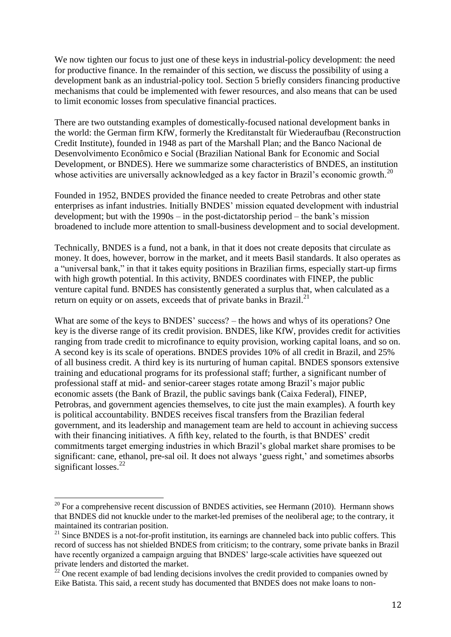We now tighten our focus to just one of these keys in industrial-policy development: the need for productive finance. In the remainder of this section, we discuss the possibility of using a development bank as an industrial-policy tool. Section 5 briefly considers financing productive mechanisms that could be implemented with fewer resources, and also means that can be used to limit economic losses from speculative financial practices.

There are two outstanding examples of domestically-focused national development banks in the world: the German firm KfW, formerly the Kreditanstalt für Wiederaufbau (Reconstruction Credit Institute), founded in 1948 as part of the Marshall Plan; and the Banco Nacional de Desenvolvimento Econômico e Social (Brazilian National Bank for Economic and Social Development, or BNDES). Here we summarize some characteristics of BNDES, an institution whose activities are universally acknowledged as a key factor in Brazil's economic growth.<sup>20</sup>

Founded in 1952, BNDES provided the finance needed to create Petrobras and other state enterprises as infant industries. Initially BNDES' mission equated development with industrial development; but with the 1990s – in the post-dictatorship period – the bank's mission broadened to include more attention to small-business development and to social development.

Technically, BNDES is a fund, not a bank, in that it does not create deposits that circulate as money. It does, however, borrow in the market, and it meets Basil standards. It also operates as a "universal bank," in that it takes equity positions in Brazilian firms, especially start-up firms with high growth potential. In this activity, BNDES coordinates with FINEP, the public venture capital fund. BNDES has consistently generated a surplus that, when calculated as a return on equity or on assets, exceeds that of private banks in Brazil. $^{21}$ 

What are some of the keys to BNDES' success? – the hows and whys of its operations? One key is the diverse range of its credit provision. BNDES, like KfW, provides credit for activities ranging from trade credit to microfinance to equity provision, working capital loans, and so on. A second key is its scale of operations. BNDES provides 10% of all credit in Brazil, and 25% of all business credit. A third key is its nurturing of human capital. BNDES sponsors extensive training and educational programs for its professional staff; further, a significant number of professional staff at mid- and senior-career stages rotate among Brazil's major public economic assets (the Bank of Brazil, the public savings bank (Caixa Federal), FINEP, Petrobras, and government agencies themselves, to cite just the main examples). A fourth key is political accountability. BNDES receives fiscal transfers from the Brazilian federal government, and its leadership and management team are held to account in achieving success with their financing initiatives. A fifth key, related to the fourth, is that BNDES' credit commitments target emerging industries in which Brazil's global market share promises to be significant: cane, ethanol, pre-sal oil. It does not always 'guess right,' and sometimes absorbs significant losses.<sup>22</sup>

 $20$  For a comprehensive recent discussion of BNDES activities, see Hermann (2010). Hermann shows that BNDES did not knuckle under to the market-led premises of the neoliberal age; to the contrary, it maintained its contrarian position.

 $21$  Since BNDES is a not-for-profit institution, its earnings are channeled back into public coffers. This record of success has not shielded BNDES from criticism; to the contrary, some private banks in Brazil have recently organized a campaign arguing that BNDES' large-scale activities have squeezed out private lenders and distorted the market.

 $22$  One recent example of bad lending decisions involves the credit provided to companies owned by Eike Batista. This said, a recent study has documented that BNDES does not make loans to non-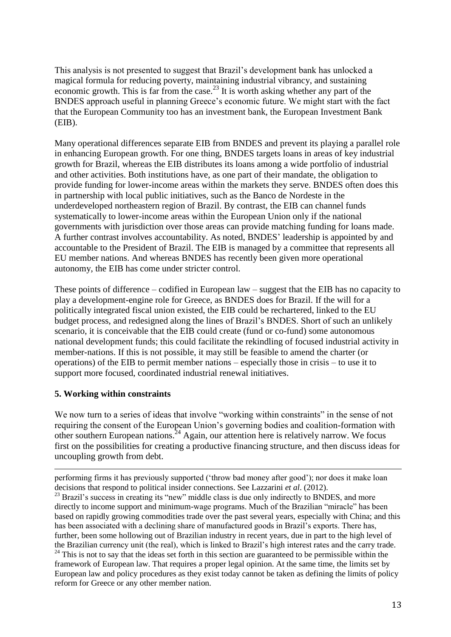This analysis is not presented to suggest that Brazil's development bank has unlocked a magical formula for reducing poverty, maintaining industrial vibrancy, and sustaining economic growth. This is far from the case.<sup>23</sup> It is worth asking whether any part of the BNDES approach useful in planning Greece's economic future. We might start with the fact that the European Community too has an investment bank, the European Investment Bank (EIB).

Many operational differences separate EIB from BNDES and prevent its playing a parallel role in enhancing European growth. For one thing, BNDES targets loans in areas of key industrial growth for Brazil, whereas the EIB distributes its loans among a wide portfolio of industrial and other activities. Both institutions have, as one part of their mandate, the obligation to provide funding for lower-income areas within the markets they serve. BNDES often does this in partnership with local public initiatives, such as the Banco de Nordeste in the underdeveloped northeastern region of Brazil. By contrast, the EIB can channel funds systematically to lower-income areas within the European Union only if the national governments with jurisdiction over those areas can provide matching funding for loans made. A further contrast involves accountability. As noted, BNDES' leadership is appointed by and accountable to the President of Brazil. The EIB is managed by a committee that represents all EU member nations. And whereas BNDES has recently been given more operational autonomy, the EIB has come under stricter control.

These points of difference – codified in European law – suggest that the EIB has no capacity to play a development-engine role for Greece, as BNDES does for Brazil. If the will for a politically integrated fiscal union existed, the EIB could be rechartered, linked to the EU budget process, and redesigned along the lines of Brazil's BNDES. Short of such an unlikely scenario, it is conceivable that the EIB could create (fund or co-fund) some autonomous national development funds; this could facilitate the rekindling of focused industrial activity in member-nations. If this is not possible, it may still be feasible to amend the charter (or operations) of the EIB to permit member nations – especially those in crisis – to use it to support more focused, coordinated industrial renewal initiatives.

# **5. Working within constraints**

<u>.</u>

We now turn to a series of ideas that involve "working within constraints" in the sense of not requiring the consent of the European Union's governing bodies and coalition-formation with other southern European nations.<sup>24</sup> Again, our attention here is relatively narrow. We focus first on the possibilities for creating a productive financing structure, and then discuss ideas for uncoupling growth from debt.

performing firms it has previously supported ('throw bad money after good'); nor does it make loan decisions that respond to political insider connections. See Lazzarini *et al*. (2012). <sup>23</sup> Brazil's success in creating its "new" middle class is due only indirectly to BNDES, and more directly to income support and minimum-wage programs. Much of the Brazilian "miracle" has been based on rapidly growing commodities trade over the past several years, especially with China; and this has been associated with a declining share of manufactured goods in Brazil's exports. There has, further, been some hollowing out of Brazilian industry in recent years, due in part to the high level of the Brazilian currency unit (the real), which is linked to Brazil's high interest rates and the carry trade. <sup>24</sup> This is not to say that the ideas set forth in this section are guaranteed to be permissible within the framework of European law. That requires a proper legal opinion. At the same time, the limits set by European law and policy procedures as they exist today cannot be taken as defining the limits of policy reform for Greece or any other member nation.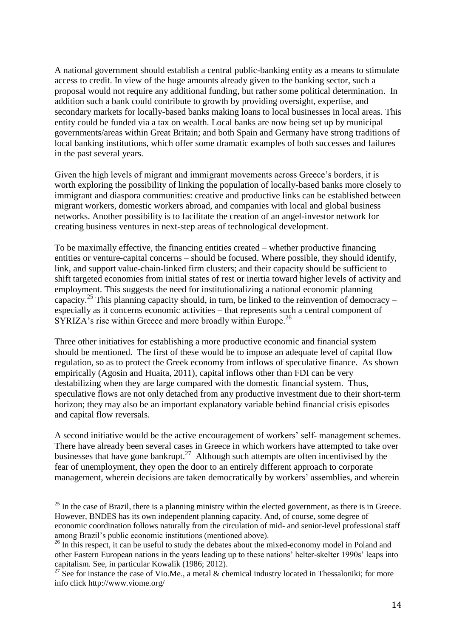A national government should establish a central public-banking entity as a means to stimulate access to credit. In view of the huge amounts already given to the banking sector, such a proposal would not require any additional funding, but rather some political determination. In addition such a bank could contribute to growth by providing oversight, expertise, and secondary markets for locally-based banks making loans to local businesses in local areas. This entity could be funded via a tax on wealth. Local banks are now being set up by municipal governments/areas within Great Britain; and both Spain and Germany have strong traditions of local banking institutions, which offer some dramatic examples of both successes and failures in the past several years.

Given the high levels of migrant and immigrant movements across Greece's borders, it is worth exploring the possibility of linking the population of locally-based banks more closely to immigrant and diaspora communities: creative and productive links can be established between migrant workers, domestic workers abroad, and companies with local and global business networks. Another possibility is to facilitate the creation of an angel-investor network for creating business ventures in next-step areas of technological development.

To be maximally effective, the financing entities created – whether productive financing entities or venture-capital concerns – should be focused. Where possible, they should identify, link, and support value-chain-linked firm clusters; and their capacity should be sufficient to shift targeted economies from initial states of rest or inertia toward higher levels of activity and employment. This suggests the need for institutionalizing a national economic planning capacity.<sup>25</sup> This planning capacity should, in turn, be linked to the reinvention of democracy – especially as it concerns economic activities – that represents such a central component of SYRIZA's rise within Greece and more broadly within Europe.<sup>26</sup>

Three other initiatives for establishing a more productive economic and financial system should be mentioned. The first of these would be to impose an adequate level of capital flow regulation, so as to protect the Greek economy from inflows of speculative finance. As shown empirically (Agosin and Huaita, 2011), capital inflows other than FDI can be very destabilizing when they are large compared with the domestic financial system. Thus, speculative flows are not only detached from any productive investment due to their short-term horizon; they may also be an important explanatory variable behind financial crisis episodes and capital flow reversals.

A second initiative would be the active encouragement of workers' self- management schemes. There have already been several cases in Greece in which workers have attempted to take over businesses that have gone bankrupt. $27$  Although such attempts are often incentivised by the fear of unemployment, they open the door to an entirely different approach to corporate management, wherein decisions are taken democratically by workers' assemblies, and wherein

 $25$  In the case of Brazil, there is a planning ministry within the elected government, as there is in Greece. However, BNDES has its own independent planning capacity. And, of course, some degree of economic coordination follows naturally from the circulation of mid- and senior-level professional staff among Brazil's public economic institutions (mentioned above).

<sup>&</sup>lt;sup>26</sup> In this respect, it can be useful to study the debates about the mixed-economy model in Poland and other Eastern European nations in the years leading up to these nations' helter-skelter 1990s' leaps into capitalism. See, in particular Kowalik (1986; 2012).

<sup>&</sup>lt;sup>27</sup> See for instance the case of Vio.Me., a metal & chemical industry located in Thessaloniki; for more info click http://www.viome.org/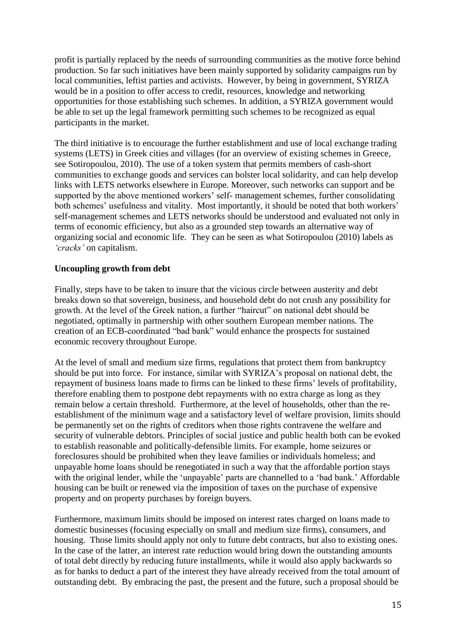profit is partially replaced by the needs of surrounding communities as the motive force behind production. So far such initiatives have been mainly supported by solidarity campaigns run by local communities, leftist parties and activists. However, by being in government, SYRIZA would be in a position to offer access to credit, resources, knowledge and networking opportunities for those establishing such schemes. In addition, a SYRIZA government would be able to set up the legal framework permitting such schemes to be recognized as equal participants in the market.

The third initiative is to encourage the further establishment and use of local exchange trading systems (LETS) in Greek cities and villages (for an overview of existing schemes in Greece, see Sotiropoulou, 2010). The use of a token system that permits members of cash-short communities to exchange goods and services can bolster local solidarity, and can help develop links with LETS networks elsewhere in Europe. Moreover, such networks can support and be supported by the above mentioned workers' self- management schemes, further consolidating both schemes' usefulness and vitality. Most importantly, it should be noted that both workers' self-management schemes and LETS networks should be understood and evaluated not only in terms of economic efficiency, but also as a grounded step towards an alternative way of organizing social and economic life. They can be seen as what Sotiropoulou (2010) labels as *'cracks'* on capitalism.

## **Uncoupling growth from debt**

Finally, steps have to be taken to insure that the vicious circle between austerity and debt breaks down so that sovereign, business, and household debt do not crush any possibility for growth. At the level of the Greek nation, a further "haircut" on national debt should be negotiated, optimally in partnership with other southern European member nations. The creation of an ECB-coordinated "bad bank" would enhance the prospects for sustained economic recovery throughout Europe.

At the level of small and medium size firms, regulations that protect them from bankruptcy should be put into force. For instance, similar with SYRIZA's proposal on national debt, the repayment of business loans made to firms can be linked to these firms' levels of profitability, therefore enabling them to postpone debt repayments with no extra charge as long as they remain below a certain threshold. Furthermore, at the level of households, other than the reestablishment of the minimum wage and a satisfactory level of welfare provision, limits should be permanently set on the rights of creditors when those rights contravene the welfare and security of vulnerable debtors. Principles of social justice and public health both can be evoked to establish reasonable and politically-defensible limits. For example, home seizures or foreclosures should be prohibited when they leave families or individuals homeless; and unpayable home loans should be renegotiated in such a way that the affordable portion stays with the original lender, while the 'unpayable' parts are channelled to a 'bad bank.' Affordable housing can be built or renewed via the imposition of taxes on the purchase of expensive property and on property purchases by foreign buyers.

Furthermore, maximum limits should be imposed on interest rates charged on loans made to domestic businesses (focusing especially on small and medium size firms), consumers, and housing. Those limits should apply not only to future debt contracts, but also to existing ones. In the case of the latter, an interest rate reduction would bring down the outstanding amounts of total debt directly by reducing future installments, while it would also apply backwards so as for banks to deduct a part of the interest they have already received from the total amount of outstanding debt. By embracing the past, the present and the future, such a proposal should be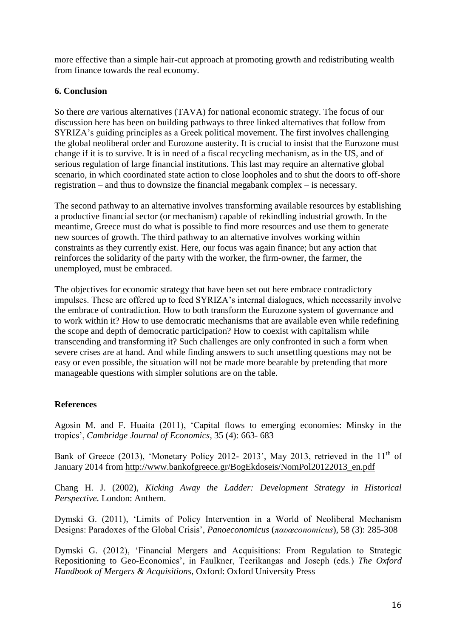more effective than a simple hair-cut approach at promoting growth and redistributing wealth from finance towards the real economy.

## **6. Conclusion**

So there *are* various alternatives (TAVA) for national economic strategy. The focus of our discussion here has been on building pathways to three linked alternatives that follow from SYRIZA's guiding principles as a Greek political movement. The first involves challenging the global neoliberal order and Eurozone austerity. It is crucial to insist that the Eurozone must change if it is to survive. It is in need of a fiscal recycling mechanism, as in the US, and of serious regulation of large financial institutions. This last may require an alternative global scenario, in which coordinated state action to close loopholes and to shut the doors to off-shore registration – and thus to downsize the financial megabank complex – is necessary.

The second pathway to an alternative involves transforming available resources by establishing a productive financial sector (or mechanism) capable of rekindling industrial growth. In the meantime, Greece must do what is possible to find more resources and use them to generate new sources of growth. The third pathway to an alternative involves working within constraints as they currently exist. Here, our focus was again finance; but any action that reinforces the solidarity of the party with the worker, the firm-owner, the farmer, the unemployed, must be embraced.

The objectives for economic strategy that have been set out here embrace contradictory impulses. These are offered up to feed SYRIZA's internal dialogues, which necessarily involve the embrace of contradiction. How to both transform the Eurozone system of governance and to work within it? How to use democratic mechanisms that are available even while redefining the scope and depth of democratic participation? How to coexist with capitalism while transcending and transforming it? Such challenges are only confronted in such a form when severe crises are at hand. And while finding answers to such unsettling questions may not be easy or even possible, the situation will not be made more bearable by pretending that more manageable questions with simpler solutions are on the table.

# **References**

Agosin M. and F. Huaita (2011), 'Capital flows to emerging economies: Minsky in the tropics', *Cambridge Journal of Economics*, 35 (4): 663- 683

Bank of Greece (2013), 'Monetary Policy 2012- 2013', May 2013, retrieved in the  $11<sup>th</sup>$  of January 2014 from [http://www.bankofgreece.gr/BogEkdoseis/NomPol20122013\\_en.pdf](http://www.bankofgreece.gr/BogEkdoseis/NomPol20122013_en.pdf)

Chang H. J. (2002), *Kicking Away the Ladder: Development Strategy in Historical Perspective*. London: Anthem.

Dymski G. (2011), 'Limits of Policy Intervention in a World of Neoliberal Mechanism Designs: Paradoxes of the Global Crisis', *Panoeconomicus* (*παυœconomicus*), 58 (3): 285-308

Dymski G. (2012), 'Financial Mergers and Acquisitions: From Regulation to Strategic Repositioning to Geo-Economics', in Faulkner, Teerikangas and Joseph (eds.) *The Oxford Handbook of Mergers & Acquisitions*, Oxford: Oxford University Press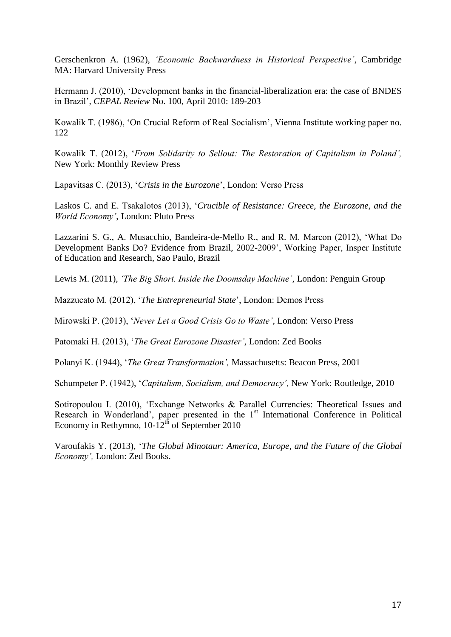Gerschenkron A. (1962), *'Economic Backwardness in Historical Perspective'*, Cambridge MA: Harvard University Press

Hermann J. (2010), 'Development banks in the financial-liberalization era: the case of BNDES in Brazil', *CEPAL Review* No. 100, April 2010: 189-203

Kowalik T. (1986), 'On Crucial Reform of Real Socialism', Vienna Institute working paper no. 122

Kowalik T. (2012), '*From Solidarity to Sellout: The Restoration of Capitalism in Poland',*  New York: Monthly Review Press

Lapavitsas C. (2013), '*Crisis in the Eurozone*', London: Verso Press

Laskos C. and E. Tsakalotos (2013), '*Crucible of Resistance: Greece, the Eurozone, and the World Economy'*, London: Pluto Press

Lazzarini S. G., A. Musacchio, Bandeira-de-Mello R., and R. M. Marcon (2012), 'What Do Development Banks Do? Evidence from Brazil, 2002-2009', Working Paper, Insper Institute of Education and Research, Sao Paulo, Brazil

Lewis M. (2011), *'The Big Short. Inside the Doomsday Machine'*, London: Penguin Group

Mazzucato M. (2012), '*The Entrepreneurial State*', London: Demos Press

Mirowski P. (2013), '*Never Let a Good Crisis Go to Waste'*, London: Verso Press

Patomaki H. (2013), '*The Great Eurozone Disaster'*, London: Zed Books

Polanyi K. (1944), '*The Great Transformation',* Massachusetts: Beacon Press, 2001

Schumpeter P. (1942), '*Capitalism, Socialism, and Democracy',* New York: Routledge, 2010

Sotiropoulou I. (2010), 'Exchange Networks & Parallel Currencies: Theoretical Issues and Research in Wonderland', paper presented in the 1<sup>st</sup> International Conference in Political Economy in Rethymno,  $10-12^{th}$  of September 2010

Varoufakis Y. (2013), '*The Global Minotaur: America, Europe, and the Future of the Global Economy',* London: Zed Books.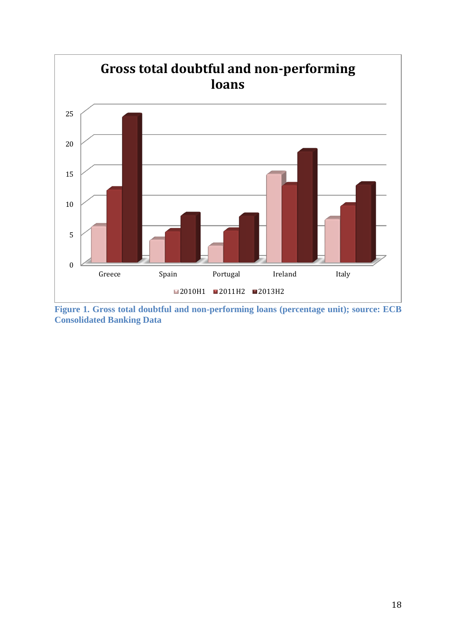

**Figure 1. Gross total doubtful and non-performing loans (percentage unit); source: ECB Consolidated Banking Data**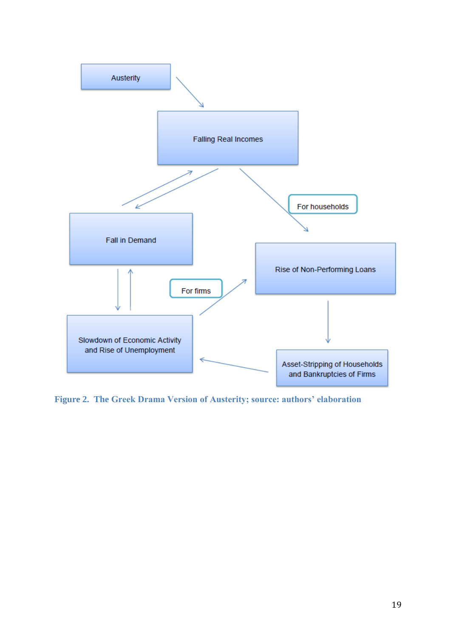

**Figure 2. The Greek Drama Version of Austerity; source: authors' elaboration**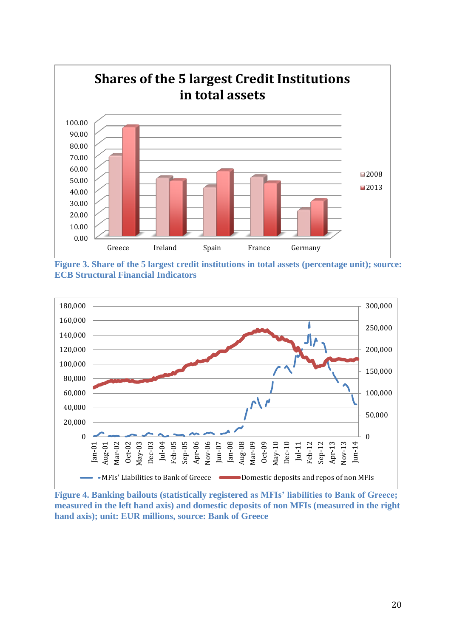





**Figure 4. Banking bailouts (statistically registered as MFIs' liabilities to Bank of Greece; measured in the left hand axis) and domestic deposits of non MFIs (measured in the right hand axis); unit: EUR millions, source: Bank of Greece**